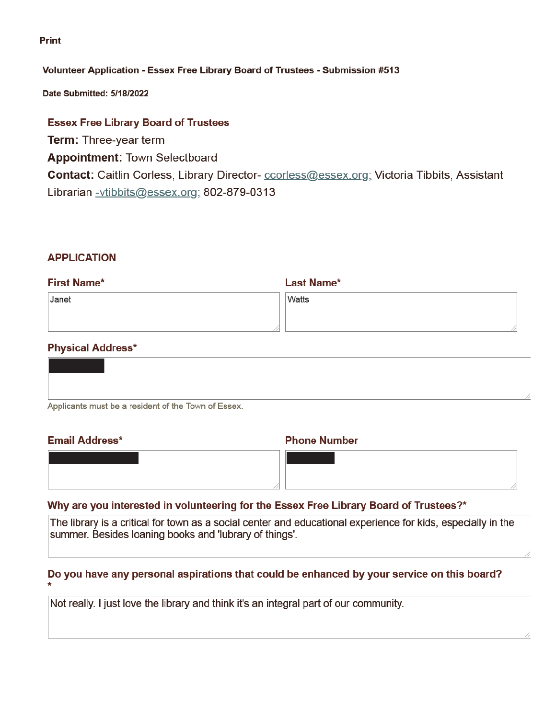#### **Print**

### Volunteer Application - Essex Free Library Board of Trustees - Submission #513

Date Submitted: 5/18/2022

# **Essex Free Library Board of Trustees**

**Term: Three-year term** 

**Appointment: Town Selectboard** 

Contact: Caitlin Corless, Library Director- ccorless@essex.org; Victoria Tibbits, Assistant Librarian -vtibbits@essex.org; 802-879-0313

### **APPLICATION**

| <b>First Name*</b> | <b>Last Name*</b> |
|--------------------|-------------------|
| Janet              | Watts             |
|                    |                   |
|                    |                   |

# **Physical Address\***

| Applicants must be a resident of the Town of Essex. |  |
|-----------------------------------------------------|--|

### **Email Address\***

#### **Phone Number**

### Why are you interested in volunteering for the Essex Free Library Board of Trustees?\*

The library is a critical for town as a social center and educational experience for kids, especially in the summer. Besides loaning books and 'lubrary of things'.

# Do you have any personal aspirations that could be enhanced by your service on this board?

Not really. I just love the library and think it's an integral part of our community.

//